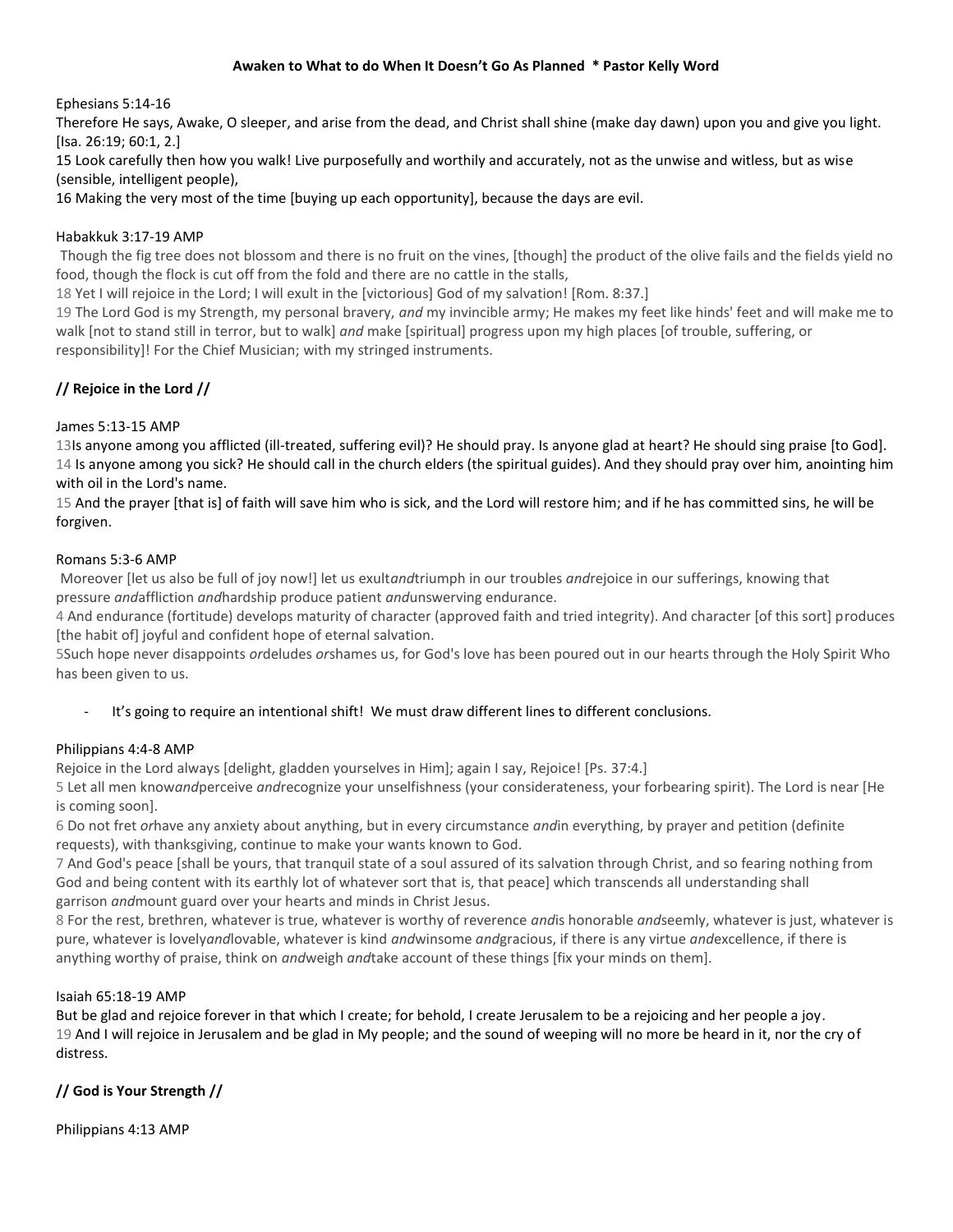### **Awaken to What to do When It Doesn't Go As Planned \* Pastor Kelly Word**

## Ephesians 5:14-16

Therefore He says, Awake, O sleeper, and arise from the dead, and Christ shall shine (make day dawn) upon you and give you light. [Isa. 26:19; 60:1, 2.]

15 Look carefully then how you walk! Live purposefully and worthily and accurately, not as the unwise and witless, but as wise (sensible, intelligent people),

16 Making the very most of the time [buying up each opportunity], because the days are evil.

### Habakkuk 3:17-19 AMP

Though the fig tree does not blossom and there is no fruit on the vines, [though] the product of the olive fails and the fields yield no food, though the flock is cut off from the fold and there are no cattle in the stalls,

18 Yet I will rejoice in the Lord; I will exult in the [victorious] God of my salvation! [Rom. 8:37.]

19 The Lord God is my Strength, my personal bravery, *and* my invincible army; He makes my feet like hinds' feet and will make me to walk [not to stand still in terror, but to walk] *and* make [spiritual] progress upon my high places [of trouble, suffering, or responsibility]! For the Chief Musician; with my stringed instruments.

# **// Rejoice in the Lord //**

## James 5:13-15 AMP

13Is anyone among you afflicted (ill-treated, suffering evil)? He should pray. Is anyone glad at heart? He should sing praise [to God]. 14 Is anyone among you sick? He should call in the church elders (the spiritual guides). And they should pray over him, anointing him with oil in the Lord's name.

15 And the prayer [that is] of faith will save him who is sick, and the Lord will restore him; and if he has committed sins, he will be forgiven.

## Romans 5:3-6 AMP

Moreover [let us also be full of joy now!] let us exult*and*triumph in our troubles *and*rejoice in our sufferings, knowing that pressure *and*affliction *and*hardship produce patient *and*unswerving endurance.

4 And endurance (fortitude) develops maturity of character (approved faith and tried integrity). And character [of this sort] produces [the habit of] joyful and confident hope of eternal salvation.

5Such hope never disappoints *or*deludes *or*shames us, for God's love has been poured out in our hearts through the Holy Spirit Who has been given to us.

It's going to require an intentional shift! We must draw different lines to different conclusions.

### Philippians 4:4-8 AMP

Rejoice in the Lord always [delight, gladden yourselves in Him]; again I say, Rejoice! [Ps. 37:4.]

5 Let all men know*and*perceive *and*recognize your unselfishness (your considerateness, your forbearing spirit). The Lord is near [He is coming soon].

6 Do not fret *or*have any anxiety about anything, but in every circumstance *and*in everything, by prayer and petition (definite requests), with thanksgiving, continue to make your wants known to God.

7 And God's peace [shall be yours, that tranquil state of a soul assured of its salvation through Christ, and so fearing nothing from God and being content with its earthly lot of whatever sort that is, that peace] which transcends all understanding shall garrison *and*mount guard over your hearts and minds in Christ Jesus.

8 For the rest, brethren, whatever is true, whatever is worthy of reverence *and*is honorable *and*seemly, whatever is just, whatever is pure, whatever is lovely*and*lovable, whatever is kind *and*winsome *and*gracious, if there is any virtue *and*excellence, if there is anything worthy of praise, think on *and*weigh *and*take account of these things [fix your minds on them].

### Isaiah 65:18-19 AMP

But be glad and rejoice forever in that which I create; for behold, I create Jerusalem to be a rejoicing and her people a joy. 19 And I will rejoice in Jerusalem and be glad in My people; and the sound of weeping will no more be heard in it, nor the cry of distress.

# **// God is Your Strength //**

Philippians 4:13 AMP